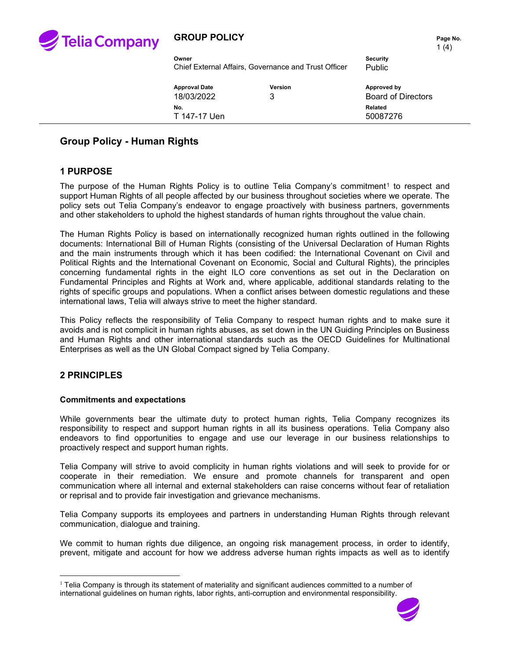

### **GROUP POLICY PAGE 10. Page No. Page No.**

1 $(4)$ 

| Owner                                                |         | Security |
|------------------------------------------------------|---------|----------|
| Chief External Affairs, Governance and Trust Officer |         | Public   |
| <b>Approval Date</b>                                 | Version | Approve  |

| Approval Date       | Version | Approved by               |
|---------------------|---------|---------------------------|
| 18/03/2022          | 3       | <b>Board of Directors</b> |
| No.<br>T 147-17 Uen |         | Related<br>50087276       |

# **Group Policy - Human Rights**

## **1 PURPOSE**

The purpose of the Human Rights Policy is to outline Telia Company's commitment<sup>[1](#page-0-0)</sup> to respect and support Human Rights of all people affected by our business throughout societies where we operate. The policy sets out Telia Company's endeavor to engage proactively with business partners, governments and other stakeholders to uphold the highest standards of human rights throughout the value chain.

The Human Rights Policy is based on internationally recognized human rights outlined in the following documents: International Bill of Human Rights (consisting of the Universal Declaration of Human Rights and the main instruments through which it has been codified: the International Covenant on Civil and Political Rights and the International Covenant on Economic, Social and Cultural Rights), the principles concerning fundamental rights in the eight ILO core conventions as set out in the Declaration on Fundamental Principles and Rights at Work and, where applicable, additional standards relating to the rights of specific groups and populations. When a conflict arises between domestic regulations and these international laws, Telia will always strive to meet the higher standard.

This Policy reflects the responsibility of Telia Company to respect human rights and to make sure it avoids and is not complicit in human rights abuses, as set down in the UN Guiding Principles on Business and Human Rights and other international standards such as the OECD Guidelines for Multinational Enterprises as well as the UN Global Compact signed by Telia Company.

#### **2 PRINCIPLES**

#### **Commitments and expectations**

While governments bear the ultimate duty to protect human rights, Telia Company recognizes its responsibility to respect and support human rights in all its business operations. Telia Company also endeavors to find opportunities to engage and use our leverage in our business relationships to proactively respect and support human rights.

Telia Company will strive to avoid complicity in human rights violations and will seek to provide for or cooperate in their remediation. We ensure and promote channels for transparent and open communication where all internal and external stakeholders can raise concerns without fear of retaliation or reprisal and to provide fair investigation and grievance mechanisms.

Telia Company supports its employees and partners in understanding Human Rights through relevant communication, dialogue and training.

We commit to human rights due diligence, an ongoing risk management process, in order to identify, prevent, mitigate and account for how we address adverse human rights impacts as well as to identify

<span id="page-0-0"></span> $1$  Telia Company is through its statement of materiality and significant audiences committed to a number of international guidelines on human rights, labor rights, anti-corruption and environmental responsibility.

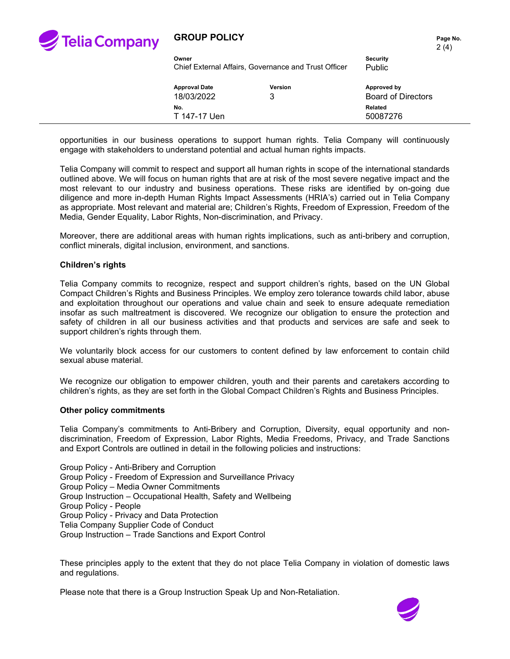

## **GROUP POLICY**

|       | Page No. |
|-------|----------|
| 2 (4) |          |

| Owner                                                |         | <b>Security</b>           |
|------------------------------------------------------|---------|---------------------------|
| Chief External Affairs, Governance and Trust Officer |         | Public                    |
| <b>Approval Date</b>                                 | Version | Approved by               |
| 18/03/2022                                           | 3       | <b>Board of Directors</b> |
| No.<br>T 147-17 Uen                                  |         | Related<br>50087276       |

opportunities in our business operations to support human rights. Telia Company will continuously engage with stakeholders to understand potential and actual human rights impacts.

Telia Company will commit to respect and support all human rights in scope of the international standards outlined above. We will focus on human rights that are at risk of the most severe negative impact and the most relevant to our industry and business operations. These risks are identified by on-going due diligence and more in-depth Human Rights Impact Assessments (HRIA's) carried out in Telia Company as appropriate. Most relevant and material are; Children's Rights, Freedom of Expression, Freedom of the Media, Gender Equality, Labor Rights, Non-discrimination, and Privacy.

Moreover, there are additional areas with human rights implications, such as anti-bribery and corruption, conflict minerals, digital inclusion, environment, and sanctions.

#### **Children's rights**

Telia Company commits to recognize, respect and support children's rights, based on the UN Global Compact Children's Rights and Business Principles. We employ zero tolerance towards child labor, abuse and exploitation throughout our operations and value chain and seek to ensure adequate remediation insofar as such maltreatment is discovered. We recognize our obligation to ensure the protection and safety of children in all our business activities and that products and services are safe and seek to support children's rights through them.

We voluntarily block access for our customers to content defined by law enforcement to contain child sexual abuse material.

We recognize our obligation to empower children, youth and their parents and caretakers according to children's rights, as they are set forth in the Global Compact Children's Rights and Business Principles.

#### **Other policy commitments**

Telia Company's commitments to Anti-Bribery and Corruption, Diversity, equal opportunity and nondiscrimination, Freedom of Expression, Labor Rights, Media Freedoms, Privacy, and Trade Sanctions and Export Controls are outlined in detail in the following policies and instructions:

Group Policy - Anti-Bribery and Corruption Group Policy - Freedom of Expression and Surveillance Privacy Group Policy – Media Owner Commitments Group Instruction – Occupational Health, Safety and Wellbeing Group Policy - People Group Policy - Privacy and Data Protection Telia Company Supplier Code of Conduct Group Instruction – Trade Sanctions and Export Control

These principles apply to the extent that they do not place Telia Company in violation of domestic laws and regulations.

Please note that there is a Group Instruction Speak Up and Non-Retaliation.

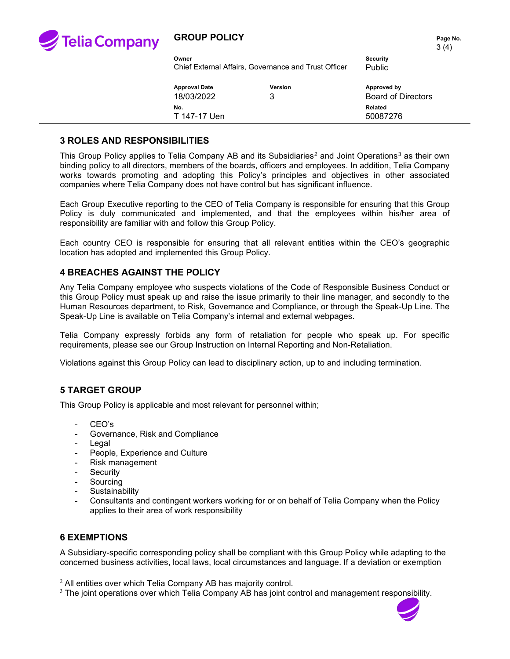

## **GROUP POLICY PAGE 10. Page No. Page No.**

| Owner                                                | Security |
|------------------------------------------------------|----------|
| Chief External Affairs, Governance and Trust Officer | Public   |
|                                                      |          |

**Approval Date Version Approved by** 18/03/2022 3 Board of Directors **No. Related** T 147-17 Uen 50087276

### **3 ROLES AND RESPONSIBILITIES**

This Group Policy applies to Telia Company AB and its Subsidiaries<sup>[2](#page-2-0)</sup> and Joint Operations<sup>[3](#page-2-1)</sup> as their own binding policy to all directors, members of the boards, officers and employees. In addition, Telia Company works towards promoting and adopting this Policy's principles and objectives in other associated companies where Telia Company does not have control but has significant influence.

Each Group Executive reporting to the CEO of Telia Company is responsible for ensuring that this Group Policy is duly communicated and implemented, and that the employees within his/her area of responsibility are familiar with and follow this Group Policy.

Each country CEO is responsible for ensuring that all relevant entities within the CEO's geographic location has adopted and implemented this Group Policy.

#### **4 BREACHES AGAINST THE POLICY**

Any Telia Company employee who suspects violations of the Code of Responsible Business Conduct or this Group Policy must speak up and raise the issue primarily to their line manager, and secondly to the Human Resources department, to Risk, Governance and Compliance, or through the Speak-Up Line. The Speak-Up Line is available on Telia Company's internal and external webpages.

Telia Company expressly forbids any form of retaliation for people who speak up. For specific requirements, please see our Group Instruction on Internal Reporting and Non-Retaliation.

Violations against this Group Policy can lead to disciplinary action, up to and including termination.

## **5 TARGET GROUP**

This Group Policy is applicable and most relevant for personnel within;

- CEO's
- Governance, Risk and Compliance
- Legal
- People, Experience and Culture
- Risk management
- Security
- Sourcing
- **Sustainability**
- Consultants and contingent workers working for or on behalf of Telia Company when the Policy applies to their area of work responsibility

#### **6 EXEMPTIONS**

A Subsidiary-specific corresponding policy shall be compliant with this Group Policy while adapting to the concerned business activities, local laws, local circumstances and language. If a deviation or exemption

<span id="page-2-1"></span><sup>&</sup>lt;sup>3</sup> The joint operations over which Telia Company AB has joint control and management responsibility.



<span id="page-2-0"></span> $2$  All entities over which Telia Company AB has majority control.